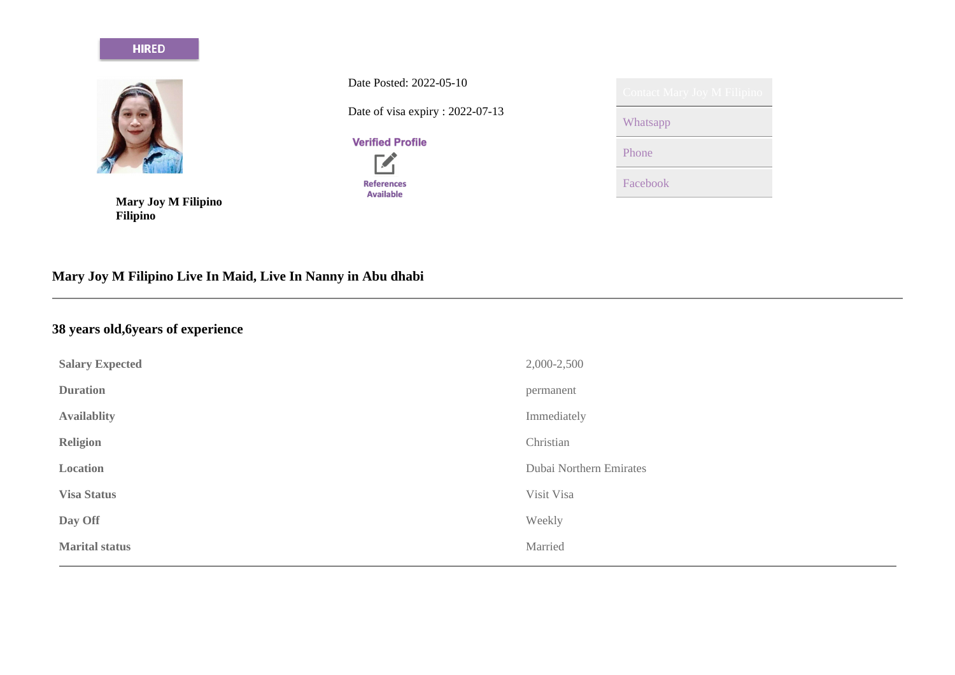#### **HIRED**



**Mary Joy M Filipino Filipino**

Date Posted: 2022-05-10

Date of visa expiry : 2022-07-13

# **Verified Profile**  $\mathbf{Z}$



| Contact Mary Joy M Filipino |
|-----------------------------|
| Whatsapp                    |
| Phone                       |
| Facebook                    |

# **Mary Joy M Filipino Live In Maid, Live In Nanny in Abu dhabi**

# **38 years old,6years of experience**

| <b>Salary Expected</b> | 2,000-2,500             |
|------------------------|-------------------------|
| <b>Duration</b>        | permanent               |
| <b>Availablity</b>     | Immediately             |
| <b>Religion</b>        | Christian               |
| Location               | Dubai Northern Emirates |
| <b>Visa Status</b>     | Visit Visa              |
| Day Off                | Weekly                  |
| <b>Marital status</b>  | Married                 |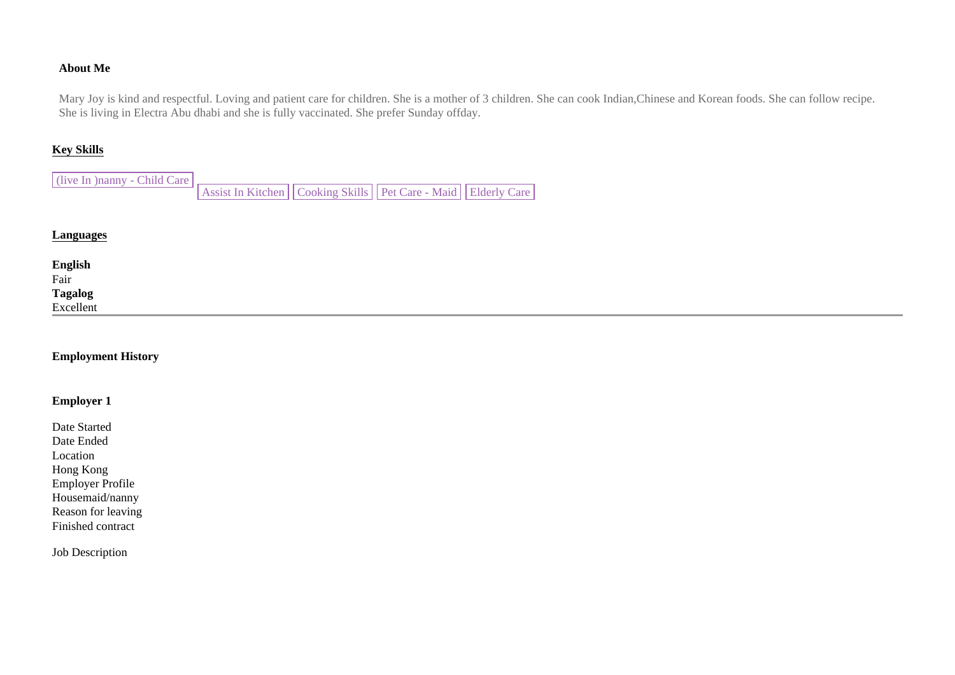# **About Me**

Mary Joy is kind and respectful. Loving and patient care for children. She is a mother of 3 children. She can cook Indian,Chinese and Korean foods. She can follow recipe. She is living in Electra Abu dhabi and she is fully vaccinated. She prefer Sunday offday.

# **Key Skills**

(live In )nanny - Child Care Assist In Kitchen | Cooking Skills | Pet Care - Maid | Elderly Care

#### **Languages**

| English<br>Fair<br>Tagalog<br>Excellent |  |  |
|-----------------------------------------|--|--|
|                                         |  |  |
|                                         |  |  |
|                                         |  |  |
|                                         |  |  |

## **Employment History**

#### **Employer 1**

Date Started Date Ended Location Hong Kong Employer Profile Housemaid/nanny Reason for leaving Finished contract

Job Description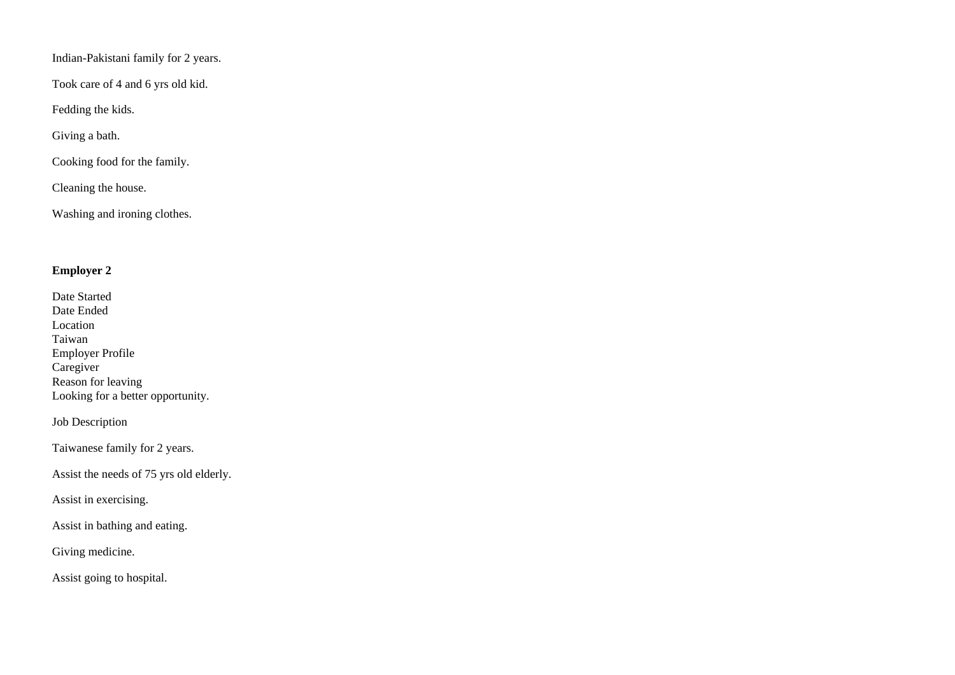Indian-Pakistani family for 2 years.

Took care of 4 and 6 yrs old kid.

Fedding the kids.

Giving a bath.

Cooking food for the family.

Cleaning the house.

Washing and ironing clothes.

# **Employer 2**

| Date Started                      |
|-----------------------------------|
| Date Ended                        |
| Location                          |
| Taiwan                            |
| Employer Profile                  |
| Caregiver                         |
| Reason for leaving                |
| Looking for a better opportunity. |

Job Description

Taiwanese family for 2 years.

Assist the needs of 75 yrs old elderly.

Assist in exercising.

Assist in bathing and eating.

Giving medicine.

Assist going to hospital.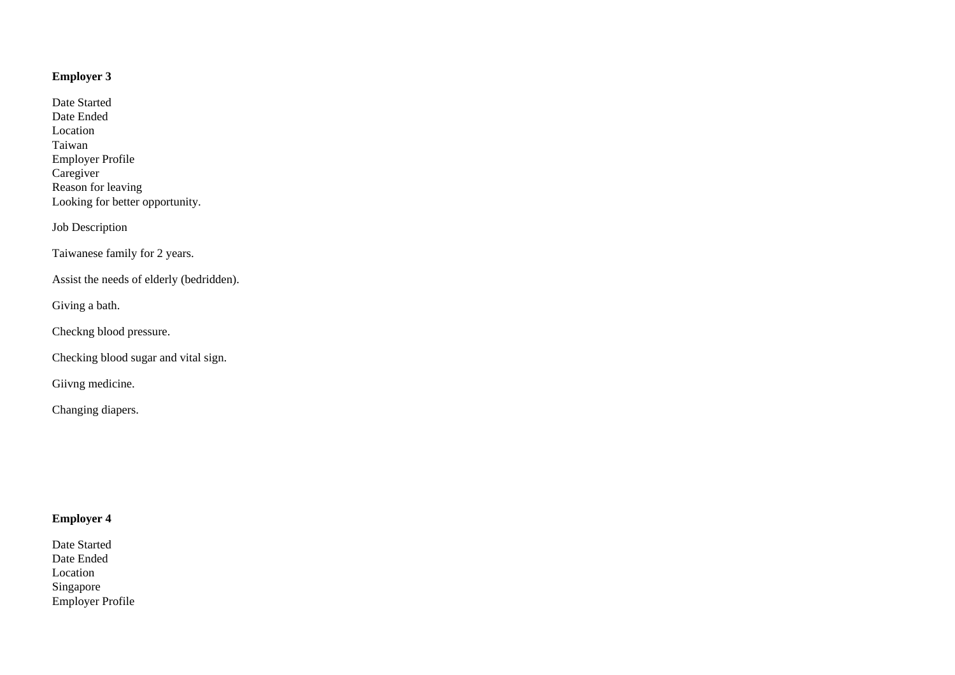# **Employer 3**

Date Started Date Ended Location Taiwan Employer Profile **Caregiver** Reason for leaving Looking for better opportunity.

Job Description

Taiwanese family for 2 years.

Assist the needs of elderly (bedridden).

Giving a bath.

Checkng blood pressure.

Checking blood sugar and vital sign.

Giivng medicine.

Changing diapers.

# **Employer 4**

Date Started Date Ended Location Singapore Employer Profile